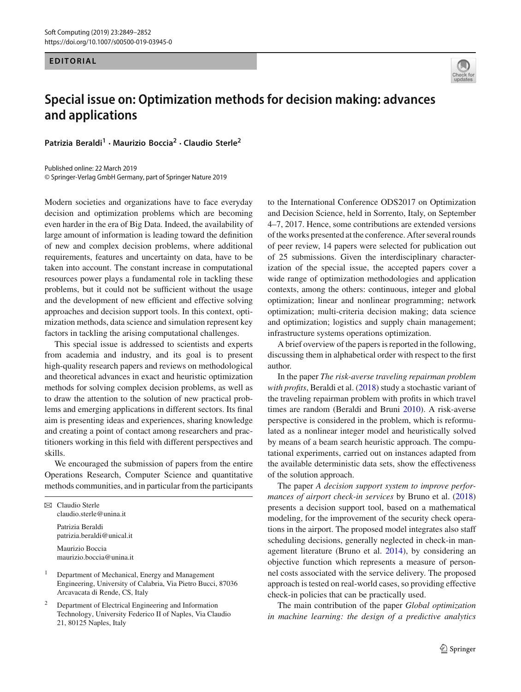## **EDITORIAL**



## **Special issue on: Optimization methods for decision making: advances and applications**

**Patrizia Beraldi<sup>1</sup> · Maurizio Boccia<sup>2</sup> · Claudio Sterle<sup>2</sup>**

Published online: 22 March 2019 © Springer-Verlag GmbH Germany, part of Springer Nature 2019

Modern societies and organizations have to face everyday decision and optimization problems which are becoming even harder in the era of Big Data. Indeed, the availability of large amount of information is leading toward the definition of new and complex decision problems, where additional requirements, features and uncertainty on data, have to be taken into account. The constant increase in computational resources power plays a fundamental role in tackling these problems, but it could not be sufficient without the usage and the development of new efficient and effective solving approaches and decision support tools. In this context, optimization methods, data science and simulation represent key factors in tackling the arising computational challenges.

This special issue is addressed to scientists and experts from academia and industry, and its goal is to present high-quality research papers and reviews on methodological and theoretical advances in exact and heuristic optimization methods for solving complex decision problems, as well as to draw the attention to the solution of new practical problems and emerging applications in different sectors. Its final aim is presenting ideas and experiences, sharing knowledge and creating a point of contact among researchers and practitioners working in this field with different perspectives and skills.

We encouraged the submission of papers from the entire Operations Research, Computer Science and quantitative methods communities, and in particular from the participants

 $\boxtimes$  Claudio Sterle claudio.sterle@unina.it Patrizia Beraldi patrizia.beraldi@unical.it Maurizio Boccia maurizio.boccia@unina.it

<sup>1</sup> Department of Mechanical, Energy and Management Engineering, University of Calabria, Via Pietro Bucci, 87036 Arcavacata di Rende, CS, Italy

<sup>2</sup> Department of Electrical Engineering and Information Technology, University Federico II of Naples, Via Claudio 21, 80125 Naples, Italy

to the International Conference ODS2017 on Optimization and Decision Science, held in Sorrento, Italy, on September 4–7, 2017. Hence, some contributions are extended versions of the works presented at the conference. After several rounds of peer review, 14 papers were selected for publication out of 25 submissions. Given the interdisciplinary characterization of the special issue, the accepted papers cover a wide range of optimization methodologies and application contexts, among the others: continuous, integer and global optimization; linear and nonlinear programming; network optimization; multi-criteria decision making; data science and optimization; logistics and supply chain management; infrastructure systems operations optimization.

A brief overview of the papers is reported in the following, discussing them in alphabetical order with respect to the first author.

In the paper *The risk-averse traveling repairman problem with profits*, Beraldi et al[.](#page-2-0) [\(2018](#page-2-0)) study a stochastic variant of the traveling repairman problem with profits in which travel times are random (Beraldi and Brun[i](#page-2-1) [2010\)](#page-2-1). A risk-averse perspective is considered in the problem, which is reformulated as a nonlinear integer model and heuristically solved by means of a beam search heuristic approach. The computational experiments, carried out on instances adapted from the available deterministic data sets, show the effectiveness of the solution approach.

The paper *A decision support system to improve performances of airport check-in services* by Bruno et al[.](#page-2-2) [\(2018\)](#page-2-2) presents a decision support tool, based on a mathematical modeling, for the improvement of the security check operations in the airport. The proposed model integrates also staff scheduling decisions, generally neglected in check-in management literature (Bruno et al[.](#page-2-3) [2014\)](#page-2-3), by considering an objective function which represents a measure of personnel costs associated with the service delivery. The proposed approach is tested on real-world cases, so providing effective check-in policies that can be practically used.

The main contribution of the paper *Global optimization in machine learning: the design of a predictive analytics*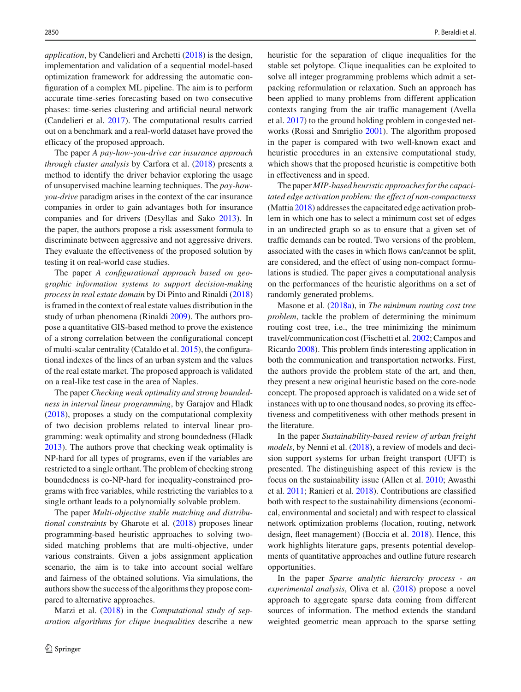*application*, by Candelieri and Archett[i](#page-2-4) [\(2018\)](#page-2-4) is the design, implementation and validation of a sequential model-based optimization framework for addressing the automatic configuration of a complex ML pipeline. The aim is to perform accurate time-series forecasting based on two consecutive phases: time-series clustering and artificial neural network (Candelieri et al[.](#page-2-5) [2017](#page-2-5)). The computational results carried out on a benchmark and a real-world dataset have proved the efficacy of the proposed approach.

The paper *A pay-how-you-drive car insurance approach through cluster analysis* by Carfora et al[.](#page-2-6) [\(2018\)](#page-2-6) presents a method to identify the driver behavior exploring the usage of unsupervised machine learning techniques. The *pay-howyou-drive* paradigm arises in the context of the car insurance companies in order to gain advantages both for insurance companies and for drivers (Desyllas and Sak[o](#page-2-7) [2013](#page-2-7)). In the paper, the authors propose a risk assessment formula to discriminate between aggressive and not aggressive drivers. They evaluate the effectiveness of the proposed solution by testing it on real-world case studies.

The paper *A configurational approach based on geographic information systems to support decision-making process in real estate domain* by Di Pinto and Rinald[i](#page-2-8) [\(2018\)](#page-2-8) is framed in the context of real estate values distribution in the study of urban phenomena (Rinald[i](#page-3-0) [2009](#page-3-0)). The authors propose a quantitative GIS-based method to prove the existence of a strong correlation between the configurational concept of multi-scalar centrality (Cataldo et al[.](#page-2-9) [2015\)](#page-2-9), the configurational indexes of the lines of an urban system and the values of the real estate market. The proposed approach is validated on a real-like test case in the area of Naples.

The paper *Checking weak optimality and strong boundedness in interval linear programming*, by Garajov and Hlad[k](#page-2-10) [\(2018](#page-2-10)), proposes a study on the computational complexity of two decision problems related to interval linear programming: weak optimality and strong boundedness (Hlad[k](#page-2-11) [2013\)](#page-2-11). The authors prove that checking weak optimality is NP-hard for all types of programs, even if the variables are restricted to a single orthant. The problem of checking strong boundedness is co-NP-hard for inequality-constrained programs with free variables, while restricting the variables to a single orthant leads to a polynomially solvable problem.

The paper *Multi-objective stable matching and distributional constraints* by Gharote et al[.](#page-2-12) [\(2018\)](#page-2-12) proposes linear programming-based heuristic approaches to solving twosided matching problems that are multi-objective, under various constraints. Given a jobs assignment application scenario, the aim is to take into account social welfare and fairness of the obtained solutions. Via simulations, the authors show the success of the algorithms they propose compared to alternative approaches.

Marzi et al[.](#page-2-13) [\(2018\)](#page-2-13) in the *Computational study of separation algorithms for clique inequalities* describe a new heuristic for the separation of clique inequalities for the stable set polytope. Clique inequalities can be exploited to solve all integer programming problems which admit a setpacking reformulation or relaxation. Such an approach has been applied to many problems from different application contexts ranging from the air traffic management (Avella et al[.](#page-2-14) [2017\)](#page-2-14) to the ground holding problem in congested networks (Rossi and Smrigli[o](#page-3-1) [2001\)](#page-3-1). The algorithm proposed in the paper is compared with two well-known exact and heuristic procedures in an extensive computational study, which shows that the proposed heuristic is competitive both in effectiveness and in speed.

The paper *MIP-based heuristic approaches for the capacitated edge activation problem: the effect of non-compactness* (Matti[a](#page-3-2) [2018](#page-3-2)) addresses the capacitated edge activation problem in which one has to select a minimum cost set of edges in an undirected graph so as to ensure that a given set of traffic demands can be routed. Two versions of the problem, associated with the cases in which flows can/cannot be split, are considered, and the effect of using non-compact formulations is studied. The paper gives a computational analysis on the performances of the heuristic algorithms on a set of randomly generated problems.

Masone et al[.](#page-2-15) [\(2018a\)](#page-2-15), in *The minimum routing cost tree problem*, tackle the problem of determining the minimum routing cost tree, i.e., the tree minimizing the minimum travel/communication cost (Fischetti et al[.](#page-2-16) [2002](#page-2-16); Campos and Ricard[o](#page-2-17) [2008\)](#page-2-17). This problem finds interesting application in both the communication and transportation networks. First, the authors provide the problem state of the art, and then, they present a new original heuristic based on the core-node concept. The proposed approach is validated on a wide set of instances with up to one thousand nodes, so proving its effectiveness and competitiveness with other methods present in the literature.

In the paper *Sustainability-based review of urban freight models*, by Nenni et al[.](#page-3-3) [\(2018\)](#page-3-3), a review of models and decision support systems for urban freight transport (UFT) is presented. The distinguishing aspect of this review is the focus on the sustainability issue (Allen et al[.](#page-2-18) [2010;](#page-2-18) Awasthi et al[.](#page-2-19) [2011](#page-2-19); Ranieri et al[.](#page-3-4) [2018](#page-3-4)). Contributions are classified both with respect to the sustainability dimensions (economical, environmental and societal) and with respect to classical network optimization problems (location, routing, network design, fleet management) (Boccia et al[.](#page-2-20) [2018\)](#page-2-20). Hence, this work highlights literature gaps, presents potential developments of quantitative approaches and outline future research opportunities.

In the paper *Sparse analytic hierarchy process - an experimental analysis*, Oliva et al[.](#page-3-5) [\(2018\)](#page-3-5) propose a novel approach to aggregate sparse data coming from different sources of information. The method extends the standard weighted geometric mean approach to the sparse setting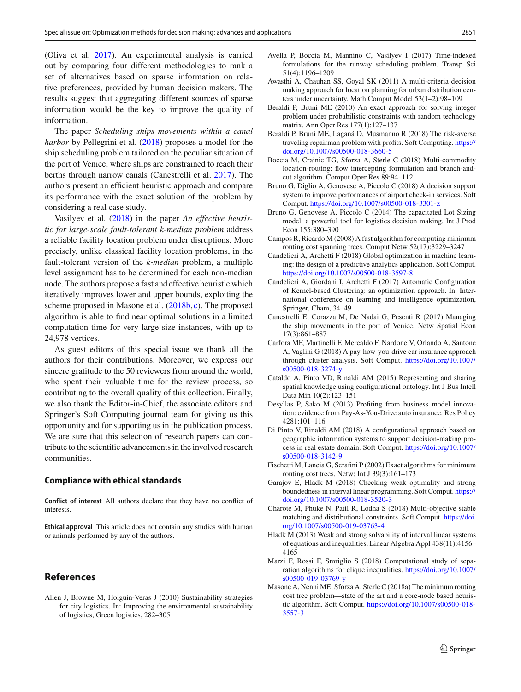(Oliva et al[.](#page-3-6) [2017\)](#page-3-6). An experimental analysis is carried out by comparing four different methodologies to rank a set of alternatives based on sparse information on relative preferences, provided by human decision makers. The results suggest that aggregating different sources of sparse information would be the key to improve the quality of information.

The paper *Scheduling ships movements within a canal harbor* by Pellegrini et al[.](#page-3-7) [\(2018\)](#page-3-7) proposes a model for the ship scheduling problem tailored on the peculiar situation of the port of Venice, where ships are constrained to reach their berths through narrow canals (Canestrelli et al[.](#page-2-21) [2017\)](#page-2-21). The authors present an efficient heuristic approach and compare its performance with the exact solution of the problem by considering a real case study.

Vasilyev et al[.](#page-3-8) [\(2018](#page-3-8)) in the paper *An effective heuristic for large-scale fault-tolerant k-median problem* address a reliable facility location problem under disruptions. More precisely, unlike classical facility location problems, in the fault-tolerant version of the *k-median* problem, a multiple level assignment has to be determined for each non-median node. The authors propose a fast and effective heuristic which iteratively improves lower and upper bounds, exploiting the scheme proposed in Masone et al[.](#page-3-9) [\(2018b,](#page-3-9) [c\)](#page-3-10). The proposed algorithm is able to find near optimal solutions in a limited computation time for very large size instances, with up to 24,978 vertices.

As guest editors of this special issue we thank all the authors for their contributions. Moreover, we express our sincere gratitude to the 50 reviewers from around the world, who spent their valuable time for the review process, so contributing to the overall quality of this collection. Finally, we also thank the Editor-in-Chief, the associate editors and Springer's Soft Computing journal team for giving us this opportunity and for supporting us in the publication process. We are sure that this selection of research papers can contribute to the scientific advancements in the involved research communities.

## **Compliance with ethical standards**

**Conflict of interest** All authors declare that they have no conflict of interests.

**Ethical approval** This article does not contain any studies with human or animals performed by any of the authors.

## **References**

<span id="page-2-18"></span>Allen J, Browne M, Holguin-Veras J (2010) Sustainability strategies for city logistics. In: Improving the environmental sustainability of logistics, Green logistics, 282–305

- <span id="page-2-14"></span>Avella P, Boccia M, Mannino C, Vasilyev I (2017) Time-indexed formulations for the runway scheduling problem. Transp Sci 51(4):1196–1209
- <span id="page-2-19"></span>Awasthi A, Chauhan SS, Goyal SK (2011) A multi-criteria decision making approach for location planning for urban distribution centers under uncertainty. Math Comput Model 53(1–2):98–109
- <span id="page-2-1"></span>Beraldi P, Bruni ME (2010) An exact approach for solving integer problem under probabilistic constraints with random technology matrix. Ann Oper Res 177(1):127–137
- <span id="page-2-0"></span>Beraldi P, Bruni ME, Laganá D, Musmanno R (2018) The risk-averse traveling repairman problem with profits. Soft Computing. [https://](https://doi.org/10.1007/s00500-018-3660-5) [doi.org/10.1007/s00500-018-3660-5](https://doi.org/10.1007/s00500-018-3660-5)
- <span id="page-2-20"></span>Boccia M, Crainic TG, Sforza A, Sterle C (2018) Multi-commodity location-routing: flow intercepting formulation and branch-andcut algorithm. Comput Oper Res 89:94–112
- <span id="page-2-2"></span>Bruno G, Diglio A, Genovese A, Piccolo C (2018) A decision support system to improve performances of airport check-in services. Soft Comput. <https://doi.org/10.1007/s00500-018-3301-z>
- <span id="page-2-3"></span>Bruno G, Genovese A, Piccolo C (2014) The capacitated Lot Sizing model: a powerful tool for logistics decision making. Int J Prod Econ 155:380–390
- <span id="page-2-17"></span>Campos R, Ricardo M (2008) A fast algorithm for computing minimum routing cost spanning trees. Comput Netw 52(17):3229–3247
- <span id="page-2-4"></span>Candelieri A, Archetti F (2018) Global optimization in machine learning: the design of a predictive analytics application. Soft Comput. <https://doi.org/10.1007/s00500-018-3597-8>
- <span id="page-2-5"></span>Candelieri A, Giordani I, Archetti F (2017) Automatic Configuration of Kernel-based Clustering: an optimization approach. In: International conference on learning and intelligence optimization, Springer, Cham, 34–49
- <span id="page-2-21"></span>Canestrelli E, Corazza M, De Nadai G, Pesenti R (2017) Managing the ship movements in the port of Venice. Netw Spatial Econ 17(3):861–887
- <span id="page-2-6"></span>Carfora MF, Martinelli F, Mercaldo F, Nardone V, Orlando A, Santone A, Vaglini G (2018) A pay-how-you-drive car insurance approach through cluster analysis. Soft Comput. [https://doi.org/10.1007/](https://doi.org/10.1007/s00500-018-3274-y) [s00500-018-3274-y](https://doi.org/10.1007/s00500-018-3274-y)
- <span id="page-2-9"></span>Cataldo A, Pinto VD, Rinaldi AM (2015) Representing and sharing spatial knowledge using configurational ontology. Int J Bus Intell Data Min 10(2):123–151
- <span id="page-2-7"></span>Desyllas P, Sako M (2013) Profiting from business model innovation: evidence from Pay-As-You-Drive auto insurance. Res Policy 4281:101–116
- <span id="page-2-8"></span>Di Pinto V, Rinaldi AM (2018) A configurational approach based on geographic information systems to support decision-making process in real estate domain. Soft Comput. [https://doi.org/10.1007/](https://doi.org/10.1007/s00500-018-3142-9) [s00500-018-3142-9](https://doi.org/10.1007/s00500-018-3142-9)
- <span id="page-2-16"></span>Fischetti M, Lancia G, Serafini P (2002) Exact algorithms for minimum routing cost trees. Netw: Int J 39(3):161–173
- <span id="page-2-10"></span>Garajov E, Hladk M (2018) Checking weak optimality and strong boundedness in interval linear programming. Soft Comput. [https://](https://doi.org/10.1007/s00500-018-3520-3) [doi.org/10.1007/s00500-018-3520-3](https://doi.org/10.1007/s00500-018-3520-3)
- <span id="page-2-12"></span>Gharote M, Phuke N, Patil R, Lodha S (2018) Multi-objective stable matching and distributional constraints. Soft Comput. [https://doi.](https://doi.org/10.1007/s00500-019-03763-4) [org/10.1007/s00500-019-03763-4](https://doi.org/10.1007/s00500-019-03763-4)
- <span id="page-2-11"></span>Hladk M (2013) Weak and strong solvability of interval linear systems of equations and inequalities. Linear Algebra Appl 438(11):4156– 4165
- <span id="page-2-13"></span>Marzi F, Rossi F, Smriglio S (2018) Computational study of separation algorithms for clique inequalities. [https://doi.org/10.1007/](https://doi.org/10.1007/s00500-019-03769-y) [s00500-019-03769-y](https://doi.org/10.1007/s00500-019-03769-y)
- <span id="page-2-15"></span>Masone A, Nenni ME, Sforza A, Sterle C (2018a) The minimum routing cost tree problem—state of the art and a core-node based heuristic algorithm. Soft Comput. [https://doi.org/10.1007/s00500-018-](https://doi.org/10.1007/s00500-018-3557-3) [3557-3](https://doi.org/10.1007/s00500-018-3557-3)